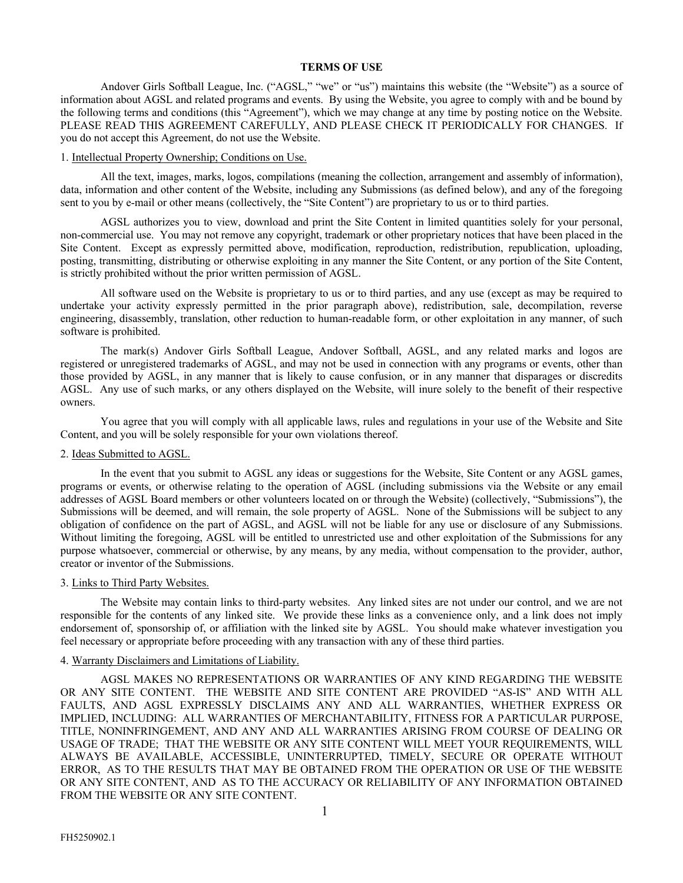### **TERMS OF USE**

Andover Girls Softball League, Inc. ("AGSL," "we" or "us") maintains this website (the "Website") as a source of information about AGSL and related programs and events. By using the Website, you agree to comply with and be bound by the following terms and conditions (this "Agreement"), which we may change at any time by posting notice on the Website. PLEASE READ THIS AGREEMENT CAREFULLY, AND PLEASE CHECK IT PERIODICALLY FOR CHANGES. If you do not accept this Agreement, do not use the Website.

## 1. Intellectual Property Ownership; Conditions on Use.

All the text, images, marks, logos, compilations (meaning the collection, arrangement and assembly of information), data, information and other content of the Website, including any Submissions (as defined below), and any of the foregoing sent to you by e-mail or other means (collectively, the "Site Content") are proprietary to us or to third parties.

AGSL authorizes you to view, download and print the Site Content in limited quantities solely for your personal, non-commercial use. You may not remove any copyright, trademark or other proprietary notices that have been placed in the Site Content. Except as expressly permitted above, modification, reproduction, redistribution, republication, uploading, posting, transmitting, distributing or otherwise exploiting in any manner the Site Content, or any portion of the Site Content, is strictly prohibited without the prior written permission of AGSL.

All software used on the Website is proprietary to us or to third parties, and any use (except as may be required to undertake your activity expressly permitted in the prior paragraph above), redistribution, sale, decompilation, reverse engineering, disassembly, translation, other reduction to human-readable form, or other exploitation in any manner, of such software is prohibited.

The mark(s) Andover Girls Softball League, Andover Softball, AGSL, and any related marks and logos are registered or unregistered trademarks of AGSL, and may not be used in connection with any programs or events, other than those provided by AGSL, in any manner that is likely to cause confusion, or in any manner that disparages or discredits AGSL. Any use of such marks, or any others displayed on the Website, will inure solely to the benefit of their respective owners.

You agree that you will comply with all applicable laws, rules and regulations in your use of the Website and Site Content, and you will be solely responsible for your own violations thereof.

## 2. Ideas Submitted to AGSL.

In the event that you submit to AGSL any ideas or suggestions for the Website, Site Content or any AGSL games, programs or events, or otherwise relating to the operation of AGSL (including submissions via the Website or any email addresses of AGSL Board members or other volunteers located on or through the Website) (collectively, "Submissions"), the Submissions will be deemed, and will remain, the sole property of AGSL. None of the Submissions will be subject to any obligation of confidence on the part of AGSL, and AGSL will not be liable for any use or disclosure of any Submissions. Without limiting the foregoing, AGSL will be entitled to unrestricted use and other exploitation of the Submissions for any purpose whatsoever, commercial or otherwise, by any means, by any media, without compensation to the provider, author, creator or inventor of the Submissions.

#### 3. Links to Third Party Websites.

The Website may contain links to third-party websites. Any linked sites are not under our control, and we are not responsible for the contents of any linked site. We provide these links as a convenience only, and a link does not imply endorsement of, sponsorship of, or affiliation with the linked site by AGSL. You should make whatever investigation you feel necessary or appropriate before proceeding with any transaction with any of these third parties.

### 4. Warranty Disclaimers and Limitations of Liability.

AGSL MAKES NO REPRESENTATIONS OR WARRANTIES OF ANY KIND REGARDING THE WEBSITE OR ANY SITE CONTENT. THE WEBSITE AND SITE CONTENT ARE PROVIDED "AS-IS" AND WITH ALL FAULTS, AND AGSL EXPRESSLY DISCLAIMS ANY AND ALL WARRANTIES, WHETHER EXPRESS OR IMPLIED, INCLUDING: ALL WARRANTIES OF MERCHANTABILITY, FITNESS FOR A PARTICULAR PURPOSE, TITLE, NONINFRINGEMENT, AND ANY AND ALL WARRANTIES ARISING FROM COURSE OF DEALING OR USAGE OF TRADE; THAT THE WEBSITE OR ANY SITE CONTENT WILL MEET YOUR REQUIREMENTS, WILL ALWAYS BE AVAILABLE, ACCESSIBLE, UNINTERRUPTED, TIMELY, SECURE OR OPERATE WITHOUT ERROR, AS TO THE RESULTS THAT MAY BE OBTAINED FROM THE OPERATION OR USE OF THE WEBSITE OR ANY SITE CONTENT, AND AS TO THE ACCURACY OR RELIABILITY OF ANY INFORMATION OBTAINED FROM THE WEBSITE OR ANY SITE CONTENT.